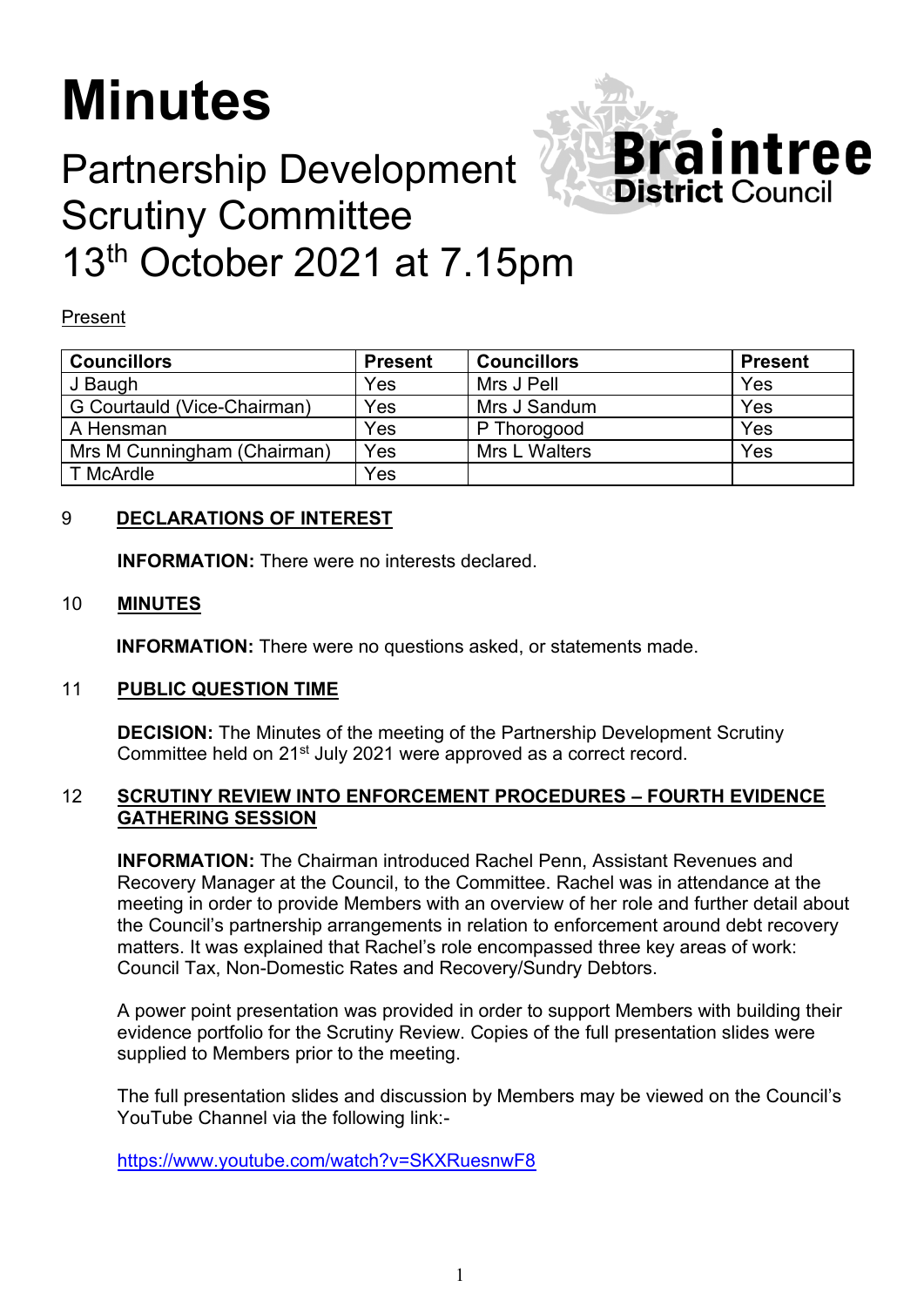# **Minutes**

## Partnership Development Scrutiny Committee 13<sup>th</sup> October 2021 at 7.15pm

Present

| <b>Councillors</b>          | <b>Present</b> | <b>Councillors</b>   | <b>Present</b> |
|-----------------------------|----------------|----------------------|----------------|
| J Baugh                     | Yes            | Mrs J Pell           | Yes            |
| G Courtauld (Vice-Chairman) | Yes            | Mrs J Sandum         | Yes            |
| A Hensman                   | Yes            | P Thorogood          | Yes            |
| Mrs M Cunningham (Chairman) | Yes            | <b>Mrs L Walters</b> | Yes            |
| T McArdle                   | Yes            |                      |                |

Braintree

**District Council** 

### 9 **DECLARATIONS OF INTEREST**

**INFORMATION:** There were no interests declared.

#### 10 **MINUTES**

**INFORMATION:** There were no questions asked, or statements made.

#### 11 **PUBLIC QUESTION TIME**

**DECISION:** The Minutes of the meeting of the Partnership Development Scrutiny Committee held on 21st July 2021 were approved as a correct record.

#### 12 **SCRUTINY REVIEW INTO ENFORCEMENT PROCEDURES – FOURTH EVIDENCE GATHERING SESSION**

 **INFORMATION:** The Chairman introduced Rachel Penn, Assistant Revenues and Recovery Manager at the Council, to the Committee. Rachel was in attendance at the meeting in order to provide Members with an overview of her role and further detail about the Council's partnership arrangements in relation to enforcement around debt recovery matters. It was explained that Rachel's role encompassed three key areas of work: Council Tax, Non-Domestic Rates and Recovery/Sundry Debtors.

A power point presentation was provided in order to support Members with building their evidence portfolio for the Scrutiny Review. Copies of the full presentation slides were supplied to Members prior to the meeting.

The full presentation slides and discussion by Members may be viewed on the Council's YouTube Channel via the following link:-

<https://www.youtube.com/watch?v=SKXRuesnwF8>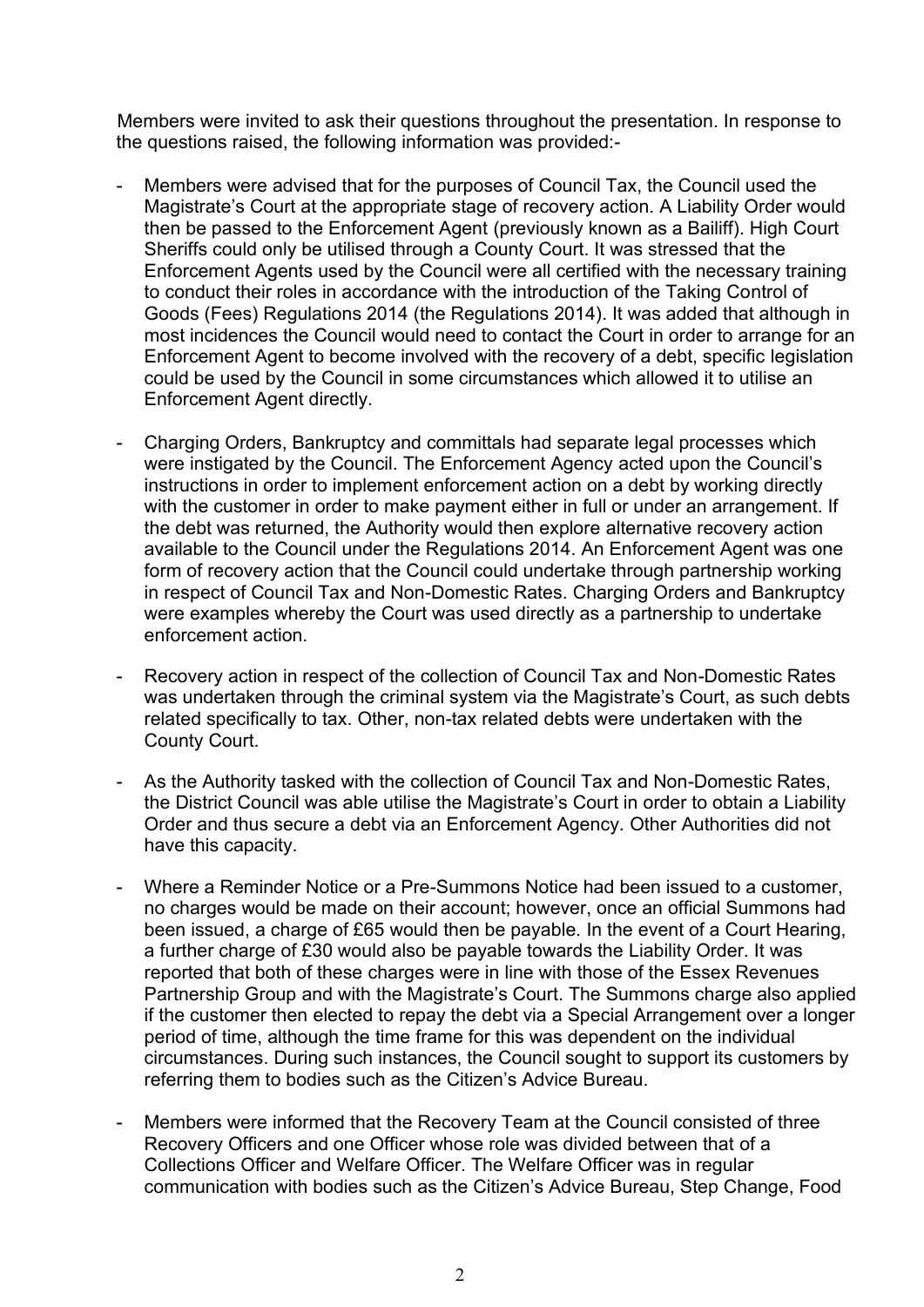Members were invited to ask their questions throughout the presentation. In response to the questions raised, the following information was provided:-

- Members were advised that for the purposes of Council Tax, the Council used the Magistrate's Court at the appropriate stage of recovery action. A Liability Order would then be passed to the Enforcement Agent (previously known as a Bailiff). High Court Sheriffs could only be utilised through a County Court. It was stressed that the Enforcement Agents used by the Council were all certified with the necessary training to conduct their roles in accordance with the introduction of the Taking Control of Goods (Fees) Regulations 2014 (the Regulations 2014). It was added that although in most incidences the Council would need to contact the Court in order to arrange for an Enforcement Agent to become involved with the recovery of a debt, specific legislation could be used by the Council in some circumstances which allowed it to utilise an Enforcement Agent directly.
- Charging Orders, Bankruptcy and committals had separate legal processes which were instigated by the Council. The Enforcement Agency acted upon the Council's instructions in order to implement enforcement action on a debt by working directly with the customer in order to make payment either in full or under an arrangement. If the debt was returned, the Authority would then explore alternative recovery action available to the Council under the Regulations 2014. An Enforcement Agent was one form of recovery action that the Council could undertake through partnership working in respect of Council Tax and Non-Domestic Rates. Charging Orders and Bankruptcy were examples whereby the Court was used directly as a partnership to undertake enforcement action.
- Recovery action in respect of the collection of Council Tax and Non-Domestic Rates was undertaken through the criminal system via the Magistrate's Court, as such debts related specifically to tax. Other, non-tax related debts were undertaken with the County Court.
- As the Authority tasked with the collection of Council Tax and Non-Domestic Rates, the District Council was able utilise the Magistrate's Court in order to obtain a Liability Order and thus secure a debt via an Enforcement Agency. Other Authorities did not have this capacity.
- Where a Reminder Notice or a Pre-Summons Notice had been issued to a customer, no charges would be made on their account; however, once an official Summons had been issued, a charge of £65 would then be payable. In the event of a Court Hearing, a further charge of £30 would also be payable towards the Liability Order. It was reported that both of these charges were in line with those of the Essex Revenues Partnership Group and with the Magistrate's Court. The Summons charge also applied if the customer then elected to repay the debt via a Special Arrangement over a longer period of time, although the time frame for this was dependent on the individual circumstances. During such instances, the Council sought to support its customers by referring them to bodies such as the Citizen's Advice Bureau.
- Members were informed that the Recovery Team at the Council consisted of three Recovery Officers and one Officer whose role was divided between that of a Collections Officer and Welfare Officer. The Welfare Officer was in regular communication with bodies such as the Citizen's Advice Bureau, Step Change, Food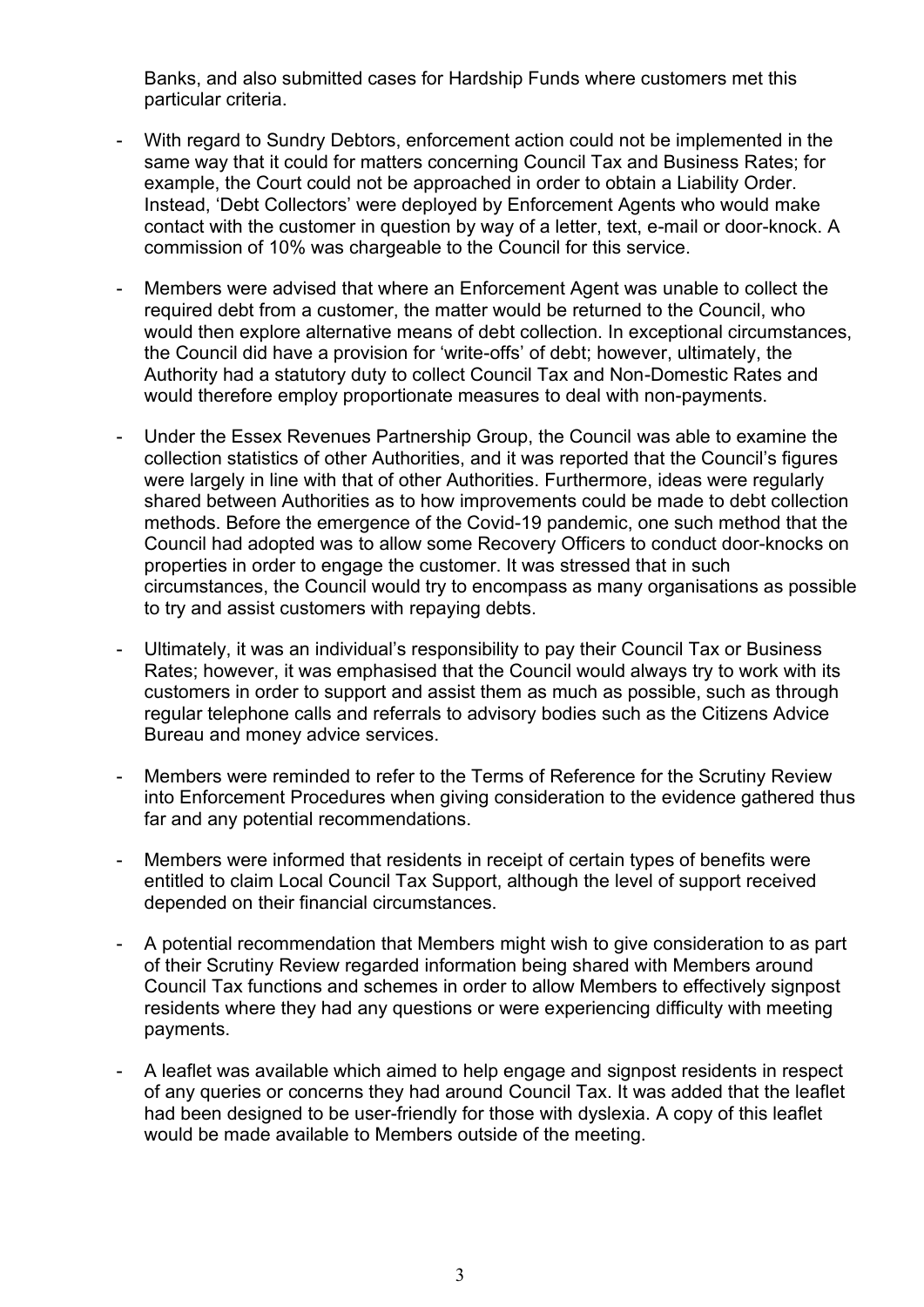Banks, and also submitted cases for Hardship Funds where customers met this particular criteria.

- With regard to Sundry Debtors, enforcement action could not be implemented in the same way that it could for matters concerning Council Tax and Business Rates; for example, the Court could not be approached in order to obtain a Liability Order. Instead, 'Debt Collectors' were deployed by Enforcement Agents who would make contact with the customer in question by way of a letter, text, e-mail or door-knock. A commission of 10% was chargeable to the Council for this service.
- Members were advised that where an Enforcement Agent was unable to collect the required debt from a customer, the matter would be returned to the Council, who would then explore alternative means of debt collection. In exceptional circumstances, the Council did have a provision for 'write-offs' of debt; however, ultimately, the Authority had a statutory duty to collect Council Tax and Non-Domestic Rates and would therefore employ proportionate measures to deal with non-payments.
- Under the Essex Revenues Partnership Group, the Council was able to examine the collection statistics of other Authorities, and it was reported that the Council's figures were largely in line with that of other Authorities. Furthermore, ideas were regularly shared between Authorities as to how improvements could be made to debt collection methods. Before the emergence of the Covid-19 pandemic, one such method that the Council had adopted was to allow some Recovery Officers to conduct door-knocks on properties in order to engage the customer. It was stressed that in such circumstances, the Council would try to encompass as many organisations as possible to try and assist customers with repaying debts.
- Ultimately, it was an individual's responsibility to pay their Council Tax or Business Rates; however, it was emphasised that the Council would always try to work with its customers in order to support and assist them as much as possible, such as through regular telephone calls and referrals to advisory bodies such as the Citizens Advice Bureau and money advice services.
- Members were reminded to refer to the Terms of Reference for the Scrutiny Review into Enforcement Procedures when giving consideration to the evidence gathered thus far and any potential recommendations.
- Members were informed that residents in receipt of certain types of benefits were entitled to claim Local Council Tax Support, although the level of support received depended on their financial circumstances.
- A potential recommendation that Members might wish to give consideration to as part of their Scrutiny Review regarded information being shared with Members around Council Tax functions and schemes in order to allow Members to effectively signpost residents where they had any questions or were experiencing difficulty with meeting payments.
- A leaflet was available which aimed to help engage and signpost residents in respect of any queries or concerns they had around Council Tax. It was added that the leaflet had been designed to be user-friendly for those with dyslexia. A copy of this leaflet would be made available to Members outside of the meeting.